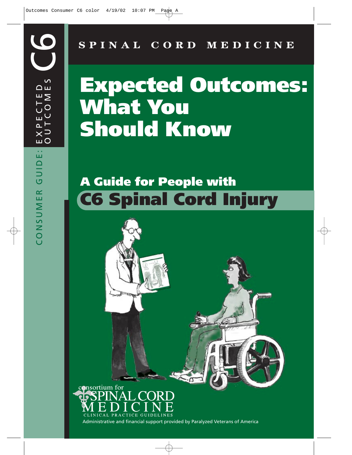# **SPINAL CORD MEDICINE**

# **Expected Outcomes: What You Should Know**

# **A Guide for People with C6 Spinal Cord Injury**

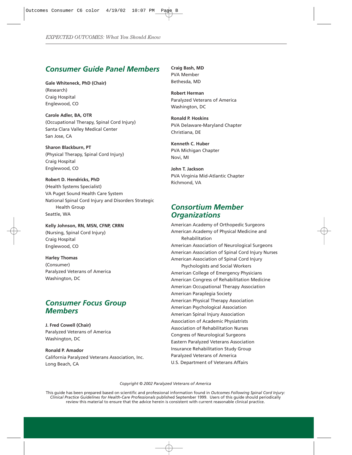# *Consumer Guide Panel Members*

**Gale Whiteneck, PhD (Chair)** (Research) Craig Hospital Englewood, CO

**Carole Adler, BA, OTR** (Occupational Therapy, Spinal Cord Injury) Santa Clara Valley Medical Center San Jose, CA

**Sharon Blackburn, PT** (Physical Therapy, Spinal Cord Injury) Craig Hospital Englewood, CO

**Robert D. Hendricks, PhD** (Health Systems Specialist) VA Puget Sound Health Care System National Spinal Cord Injury and Disorders Strategic Health Group Seattle, WA

**Kelly Johnson, RN, MSN, CFNP, CRRN** (Nursing, Spinal Cord Injury) Craig Hospital Englewood, CO

**Harley Thomas** (Consumer) Paralyzed Veterans of America Washington, DC

# *Consumer Focus Group Members*

**J. Fred Cowell (Chair)** Paralyzed Veterans of America Washington, DC

**Ronald P. Amador** California Paralyzed Veterans Association, Inc. Long Beach, CA

**Craig Bash, MD** PVA Member Bethesda, MD

**Robert Herman** Paralyzed Veterans of America Washington, DC

**Ronald P. Hoskins** PVA Delaware-Maryland Chapter Christiana, DE

**Kenneth C. Huber** PVA Michigan Chapter Novi, MI

**John T. Jackson** PVA Virginia Mid-Atlantic Chapter Richmond, VA

# *Consortium Member Organizations*

American Academy of Orthopedic Surgeons American Academy of Physical Medicine and Rehabilitation American Association of Neurological Surgeons American Association of Spinal Cord Injury Nurses American Association of Spinal Cord Injury Psychologists and Social Workers American College of Emergency Physicians American Congress of Rehabilitation Medicine American Occupational Therapy Association American Paraplegia Society American Physical Therapy Association American Psychological Association American Spinal Injury Association Association of Academic Physiatrists Association of Rehabilitation Nurses Congress of Neurological Surgeons Eastern Paralyzed Veterans Association Insurance Rehabilitation Study Group Paralyzed Veterans of America U.S. Department of Veterans Affairs

*Copyright © 2002 Paralyzed Veterans of America*

This guide has been prepared based on scientific and professional information found in *Outcomes Following Spinal Cord Injury: Clinical Practice Guidelines for Health-Care Professionals* published September 1999. Users of this guide should periodically review this material to ensure that the advice herein is consistent with current reasonable clinical practice.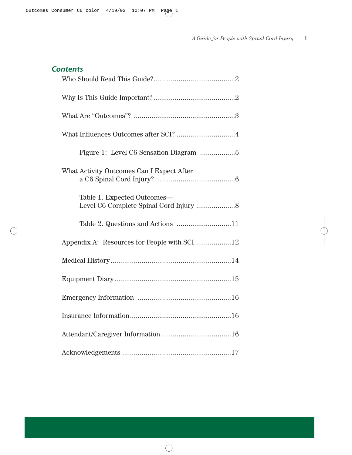# *Contents*

| What Influences Outcomes after SCI? 4        |
|----------------------------------------------|
|                                              |
| What Activity Outcomes Can I Expect After    |
| Table 1. Expected Outcomes-                  |
|                                              |
| Appendix A: Resources for People with SCI 12 |
|                                              |
|                                              |
|                                              |
|                                              |
|                                              |
|                                              |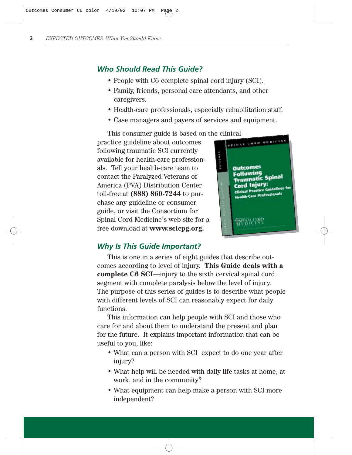# *Who Should Read This Guide?*

- People with C6 complete spinal cord injury (SCI).
- Family, friends, personal care attendants, and other caregivers.
- Health-care professionals, especially rehabilitation staff.
- Case managers and payers of services and equipment.

This consumer guide is based on the clinical<br>ctice guideline about outcomes practice guideline about outcomes following traumatic SCI currently available for health-care professionals. Tell your health-care team to contact the Paralyzed Veterans of America (PVA) Distribution Center toll-free at **(888) 860-7244** to purchase any guideline or consumer guide, or visit the Consortium for Spinal Cord Medicine's web site for a free download at **www.scicpg.org.**



# *Why Is This Guide Important?*

This is one in a series of eight guides that describe outcomes according to level of injury. **This Guide deals with a complete C6 SCI**—injury to the sixth cervical spinal cord segment with complete paralysis below the level of injury. The purpose of this series of guides is to describe what people with different levels of SCI can reasonably expect for daily functions.

This information can help people with SCI and those who care for and about them to understand the present and plan for the future. It explains important information that can be useful to you, like:

- What can a person with SCI expect to do one year after injury?
- What help will be needed with daily life tasks at home, at work, and in the community?
- What equipment can help make a person with SCI more independent?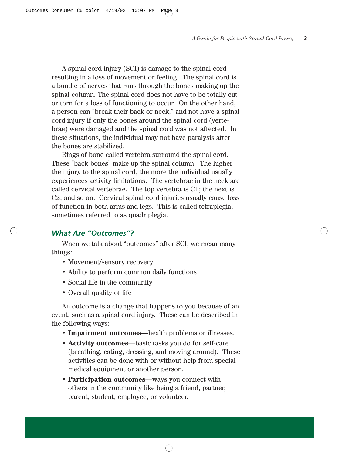A spinal cord injury (SCI) is damage to the spinal cord resulting in a loss of movement or feeling. The spinal cord is a bundle of nerves that runs through the bones making up the spinal column. The spinal cord does not have to be totally cut or torn for a loss of functioning to occur. On the other hand, a person can "break their back or neck," and not have a spinal cord injury if only the bones around the spinal cord (vertebrae) were damaged and the spinal cord was not affected. In these situations, the individual may not have paralysis after the bones are stabilized.

Rings of bone called vertebra surround the spinal cord. These "back bones" make up the spinal column. The higher the injury to the spinal cord, the more the individual usually experiences activity limitations. The vertebrae in the neck are called cervical vertebrae. The top vertebra is C1; the next is C2, and so on. Cervical spinal cord injuries usually cause loss of function in both arms and legs. This is called tetraplegia, sometimes referred to as quadriplegia.

#### *What Are "Outcomes"?*

When we talk about "outcomes" after SCI, we mean many things:

- Movement/sensory recovery
- Ability to perform common daily functions
- Social life in the community
- Overall quality of life

An outcome is a change that happens to you because of an event, such as a spinal cord injury. These can be described in the following ways:

- **Impairment outcomes**—health problems or illnesses.
- **Activity outcomes**—basic tasks you do for self-care (breathing, eating, dressing, and moving around). These activities can be done with or without help from special medical equipment or another person.
- **Participation outcomes**—ways you connect with others in the community like being a friend, partner, parent, student, employee, or volunteer.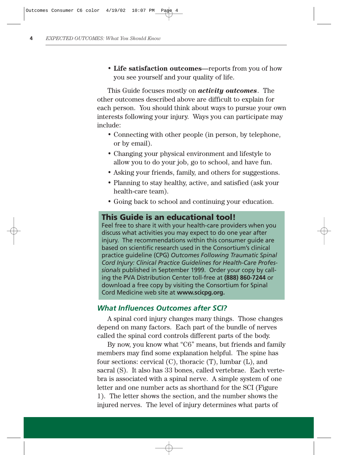• **Life satisfaction outcomes**—reports from you of how you see yourself and your quality of life.

This Guide focuses mostly on *activity outcomes*. The other outcomes described above are difficult to explain for each person. You should think about ways to pursue your own interests following your injury. Ways you can participate may include:

- Connecting with other people (in person, by telephone, or by email).
- Changing your physical environment and lifestyle to allow you to do your job, go to school, and have fun.
- Asking your friends, family, and others for suggestions.
- Planning to stay healthy, active, and satisfied (ask your health-care team).
- Going back to school and continuing your education.

# **This Guide is an educational tool!**

Feel free to share it with your health-care providers when you discuss what activities you may expect to do one year after injury. The recommendations within this consumer quide are based on scientific research used in the Consortium's clinical practice guideline (CPG) *Outcomes Following Traumatic Spinal Cord Injury: Clinical Practice Guidelines for Health-Care Professionals* published in September 1999. Order your copy by calling the PVA Distribution Center toll-free at **(888) 860-7244** or download a free copy by visiting the Consortium for Spinal Cord Medicine web site at **www.scicpg.org.**

#### *What Influences Outcomes after SCI?*

A spinal cord injury changes many things. Those changes depend on many factors. Each part of the bundle of nerves called the spinal cord controls different parts of the body.

By now, you know what "C6" means, but friends and family members may find some explanation helpful. The spine has four sections: cervical (C), thoracic (T), lumbar (L), and sacral (S). It also has 33 bones, called vertebrae. Each vertebra is associated with a spinal nerve. A simple system of one letter and one number acts as shorthand for the SCI (Figure 1). The letter shows the section, and the number shows the injured nerves. The level of injury determines what parts of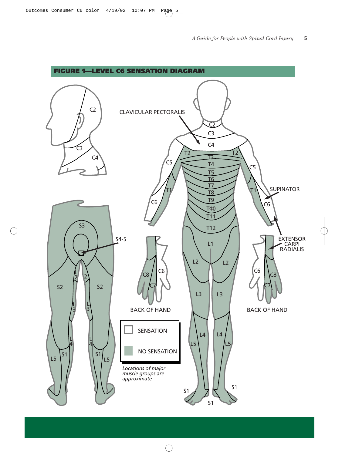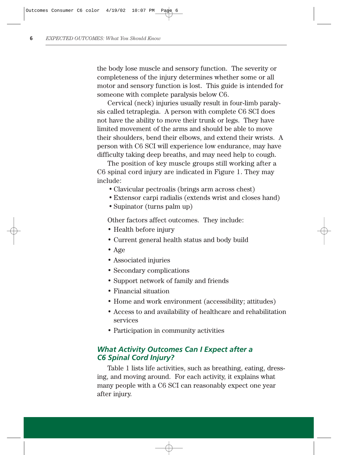the body lose muscle and sensory function. The severity or completeness of the injury determines whether some or all motor and sensory function is lost. This guide is intended for someone with complete paralysis below C6.

Cervical (neck) injuries usually result in four-limb paralysis called tetraplegia. A person with complete C6 SCI does not have the ability to move their trunk or legs. They have limited movement of the arms and should be able to move their shoulders, bend their elbows, and extend their wrists. A person with C6 SCI will experience low endurance, may have difficulty taking deep breaths, and may need help to cough.

The position of key muscle groups still working after a C6 spinal cord injury are indicated in Figure 1. They may include:

- Clavicular pectroalis (brings arm across chest)
- •Extensor carpi radialis (extends wrist and closes hand)
- Supinator (turns palm up)

Other factors affect outcomes. They include:

- Health before injury
- Current general health status and body build
- Age
- Associated injuries
- Secondary complications
- Support network of family and friends
- Financial situation
- Home and work environment (accessibility; attitudes)
- Access to and availability of healthcare and rehabilitation services
- Participation in community activities

#### *What Activity Outcomes Can I Expect after a C6 Spinal Cord Injury?*

Table 1 lists life activities, such as breathing, eating, dressing, and moving around. For each activity, it explains what many people with a C6 SCI can reasonably expect one year after injury.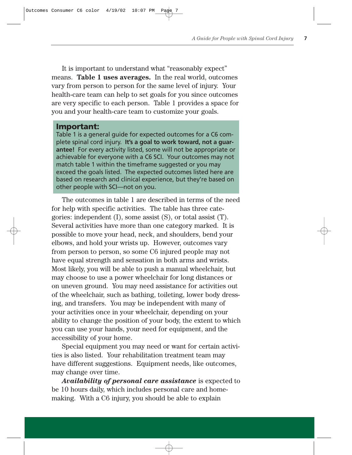It is important to understand what "reasonably expect" means. **Table 1 uses averages.** In the real world, outcomes vary from person to person for the same level of injury. Your health-care team can help to set goals for you since outcomes are very specific to each person. Table 1 provides a space for you and your health-care team to customize your goals.

#### **Important:**

Table 1 is a general guide for expected outcomes for a C6 complete spinal cord injury. **It's a goal to work toward, not a guarantee!** For every activity listed, some will not be appropriate or achievable for everyone with a C6 SCI. Your outcomes may not match table 1 within the timeframe suggested or you may exceed the goals listed. The expected outcomes listed here are based on research and clinical experience, but they're based on other people with SCI—not on you.

The outcomes in table 1 are described in terms of the need for help with specific activities. The table has three categories: independent (I), some assist (S), or total assist (T). Several activities have more than one category marked. It is possible to move your head, neck, and shoulders, bend your elbows, and hold your wrists up. However, outcomes vary from person to person, so some C6 injured people may not have equal strength and sensation in both arms and wrists. Most likely, you will be able to push a manual wheelchair, but may choose to use a power wheelchair for long distances or on uneven ground. You may need assistance for activities out of the wheelchair, such as bathing, toileting, lower body dressing, and transfers. You may be independent with many of your activities once in your wheelchair, depending on your ability to change the position of your body, the extent to which you can use your hands, your need for equipment, and the accessibility of your home.

Special equipment you may need or want for certain activities is also listed. Your rehabilitation treatment team may have different suggestions. Equipment needs, like outcomes, may change over time.

*Availability of personal care assistance* is expected to be 10 hours daily, which includes personal care and homemaking. With a C6 injury, you should be able to explain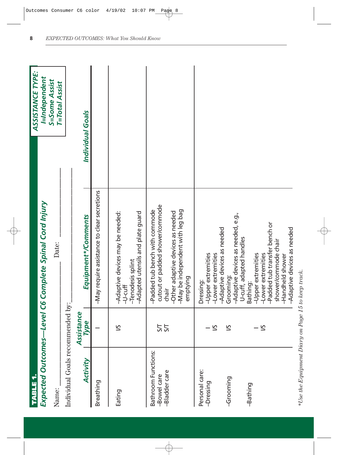| <b>TABLE 1</b>                                      |                    |                                                                                                                                                                                             | ASSISTANCE TYPE:                |
|-----------------------------------------------------|--------------------|---------------------------------------------------------------------------------------------------------------------------------------------------------------------------------------------|---------------------------------|
|                                                     |                    | Expected Outcomes—Level C6 Complete Spinal Cord Injury                                                                                                                                      | I=Independent                   |
| Name:                                               |                    | Date:                                                                                                                                                                                       | S=Some Assist<br>T=Total Assist |
| Individual Goals recommended by:                    |                    |                                                                                                                                                                                             |                                 |
| Activity                                            | Assistance<br>Type | Equipment*/Comments                                                                                                                                                                         | Individual Goals                |
| Breathing                                           |                    | -May require assistance to clear secretions                                                                                                                                                 |                                 |
| Eating                                              | 51                 | -Adapted utensils and plate guard<br>-Adaptive devices may be needed:<br>-Tenodesis splint<br>$-U$ -cuff                                                                                    |                                 |
| Bathroom Functions:<br>-Bladder care<br>-Bowel care | 55                 | cutout or padded shower/commode<br>-May be independent with leg bag<br>-Padded tub bench with commode<br>-Other adaptive devices as needed<br>emptying<br>chair                             |                                 |
| Personal care:<br>-Dressing                         | ΣÎ                 | -Adaptive devices as needed<br>-Upper extremities<br>-Lower extremities<br>Dressing:                                                                                                        |                                 |
| -Grooming                                           | 51                 | -Adaptive devices as needed, e.g.,<br>Grooming:                                                                                                                                             |                                 |
| -Bathing                                            | 51                 | -Padded tub transfer bench or<br>-Adaptive devices as needed<br>U-cuff, adapted handles<br>shower/commode chair<br>-Upper extremities<br>-Lower extremities<br>-Handheld shower<br>Bathing: |                                 |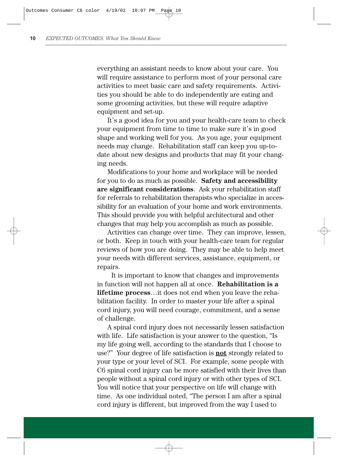everything an assistant needs to know about your care. You will require assistance to perform most of your personal care activities to meet basic care and safety requirements. Activities you should be able to do independently are eating and some grooming activities, but these will require adaptive equipment and set-up.

It's a good idea for you and your health-care team to check your equipment from time to time to make sure it's in good shape and working well for you. As you age, your equipment needs may change. Rehabilitation staff can keep you up-todate about new designs and products that may fit your changing needs.

Modifications to your home and workplace will be needed for you to do as much as possible. **Safety and accessibility are significant considerations**. Ask your rehabilitation staff for referrals to rehabilitation therapists who specialize in accessibility for an evaluation of your home and work environments. This should provide you with helpful architectural and other changes that may help you accomplish as much as possible.

Activities can change over time. They can improve, lessen, or both. Keep in touch with your health-care team for regular reviews of how you are doing. They may be able to help meet your needs with different services, assistance, equipment, or repairs.

It is important to know that changes and improvements in function will not happen all at once. **Rehabilitation is a lifetime process**…it does not end when you leave the rehabilitation facility. In order to master your life after a spinal cord injury, you will need courage, commitment, and a sense of challenge.

A spinal cord injury does not necessarily lessen satisfaction with life. Life satisfaction is your answer to the question, "Is my life going well, according to the standards that I choose to use?" Your degree of life satisfaction is **not** strongly related to your type or your level of SCI. For example, some people with C6 spinal cord injury can be more satisfied with their lives than people without a spinal cord injury or with other types of SCI. You will notice that your perspective on life will change with time. As one individual noted, "The person I am after a spinal cord injury is different, but improved from the way I used to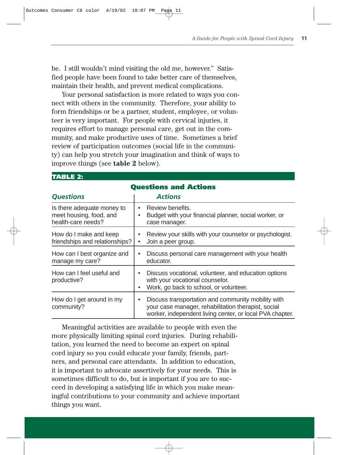be. I still wouldn't mind visiting the old me, however." Satisfied people have been found to take better care of themselves, maintain their health, and prevent medical complications.

Your personal satisfaction is more related to ways you connect with others in the community. Therefore, your ability to form friendships or be a partner, student, employee, or volunteer is very important. For people with cervical injuries, it requires effort to manage personal care, get out in the community, and make productive uses of time. Sometimes a brief review of participation outcomes (social life in the community) can help you stretch your imagination and think of ways to improve things (see **table 2** below).

| <b>Questions and Actions</b>                                                |                                                                                                                                                                       |  |  |  |  |  |  |
|-----------------------------------------------------------------------------|-----------------------------------------------------------------------------------------------------------------------------------------------------------------------|--|--|--|--|--|--|
| <b>Questions</b>                                                            | <b>Actions</b>                                                                                                                                                        |  |  |  |  |  |  |
| Is there adequate money to<br>meet housing, food, and<br>health-care needs? | Review benefits.<br>Budget with your financial planner, social worker, or<br>case manager.                                                                            |  |  |  |  |  |  |
| How do I make and keep<br>friendships and relationships?                    | Review your skills with your counselor or psychologist.<br>Join a peer group.                                                                                         |  |  |  |  |  |  |
| How can I best organize and<br>manage my care?                              | Discuss personal care management with your health<br>educator.                                                                                                        |  |  |  |  |  |  |
| How can I feel useful and<br>productive?                                    | Discuss vocational, volunteer, and education options<br>with your vocational counselor.<br>Work, go back to school, or volunteer.                                     |  |  |  |  |  |  |
| How do I get around in my<br>community?                                     | Discuss transportation and community mobility with<br>your case manager, rehabilitation therapist, social<br>worker, independent living center, or local PVA chapter. |  |  |  |  |  |  |

#### **TABLE 2:**

Meaningful activities are available to people with even the more physically limiting spinal cord injuries. During rehabilitation, you learned the need to become an expert on spinal cord injury so you could educate your family, friends, partners, and personal care attendants. In addition to education, it is important to advocate assertively for your needs. This is sometimes difficult to do, but is important if you are to succeed in developing a satisfying life in which you make meaningful contributions to your community and achieve important things you want.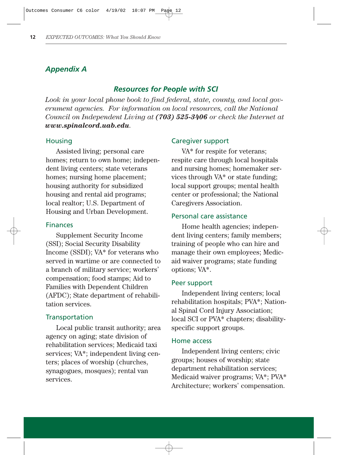# *Appendix A*

#### *Resources for People with SCI*

*Look in your local phone book to find federal, state, county, and local government agencies. For information on local resources, call the National Council on Independent Living at (703) 525-3406 or check the Internet at www.spinalcord.uab.edu.*

#### **Housing**

Assisted living; personal care homes; return to own home; independent living centers; state veterans homes; nursing home placement; housing authority for subsidized housing and rental aid programs; local realtor; U.S. Department of Housing and Urban Development.

#### Finances

Supplement Security Income (SSI); Social Security Disability Income (SSDI); VA\* for veterans who served in wartime or are connected to a branch of military service; workers' compensation; food stamps; Aid to Families with Dependent Children (AFDC); State department of rehabilitation services.

#### **Transportation**

Local public transit authority; area agency on aging; state division of rehabilitation services; Medicaid taxi services; VA\*; independent living centers; places of worship (churches, synagogues, mosques); rental van services.

#### Caregiver support

VA\* for respite for veterans: respite care through local hospitals and nursing homes; homemaker services through VA\* or state funding; local support groups; mental health center or professional; the National Caregivers Association.

#### Personal care assistance

Home health agencies; independent living centers; family members; training of people who can hire and manage their own employees; Medicaid waiver programs; state funding options; VA\*.

#### Peer support

Independent living centers; local rehabilitation hospitals; PVA\*; National Spinal Cord Injury Association; local SCI or PVA\* chapters; disabilityspecific support groups.

#### Home access

Independent living centers; civic groups; houses of worship; state department rehabilitation services; Medicaid waiver programs; VA\*; PVA\* Architecture; workers' compensation.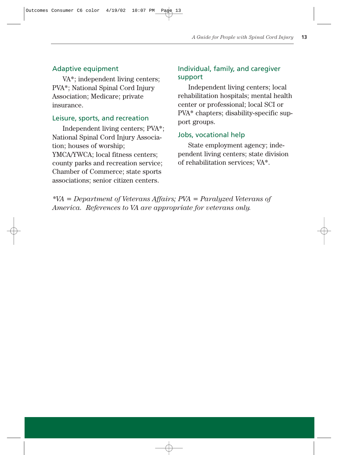#### Adaptive equipment

VA\*; independent living centers; PVA\*; National Spinal Cord Injury Association; Medicare; private insurance.

#### Leisure, sports, and recreation

Independent living centers; PVA\*; National Spinal Cord Injury Association; houses of worship; YMCA/YWCA; local fitness centers; county parks and recreation service; Chamber of Commerce; state sports associations; senior citizen centers.

# Individual, family, and caregiver support

Independent living centers; local rehabilitation hospitals; mental health center or professional; local SCI or PVA\* chapters; disability-specific support groups.

#### Jobs, vocational help

State employment agency; independent living centers; state division of rehabilitation services; VA\*.

*\*VA = Department of Veterans Affairs; PVA = Paralyzed Veterans of America. References to VA are appropriate for veterans only.*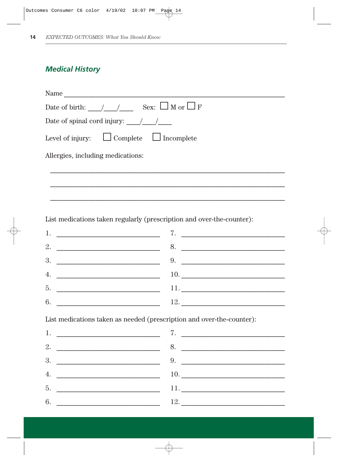# **Medical History**

| Name                                                                                                                                                                                                                                                                                                                                                                                                      |
|-----------------------------------------------------------------------------------------------------------------------------------------------------------------------------------------------------------------------------------------------------------------------------------------------------------------------------------------------------------------------------------------------------------|
| Date of birth: $/$ / Sex: $\Box$ M or $\Box$ F                                                                                                                                                                                                                                                                                                                                                            |
| Date of spinal cord injury: $\frac{1}{\sqrt{1-\frac{1}{\sqrt{1-\frac{1}{\sqrt{1-\frac{1}{\sqrt{1-\frac{1}{\sqrt{1-\frac{1}{\sqrt{1-\frac{1}{\sqrt{1-\frac{1}{\sqrt{1-\frac{1}{\sqrt{1-\frac{1}{\sqrt{1-\frac{1}{\sqrt{1-\frac{1}{\sqrt{1-\frac{1}{\sqrt{1-\frac{1}{\sqrt{1-\frac{1}{\sqrt{1-\frac{1}{\sqrt{1-\frac{1}{\sqrt{1-\frac{1}{\sqrt{1-\frac{1}{\sqrt{1-\frac{1}{\sqrt{1-\frac{1}{\sqrt{1-\frac{$ |
| Level of injury: $\Box$ Complete $\Box$ Incomplete                                                                                                                                                                                                                                                                                                                                                        |
| Allergies, including medications:                                                                                                                                                                                                                                                                                                                                                                         |
|                                                                                                                                                                                                                                                                                                                                                                                                           |
|                                                                                                                                                                                                                                                                                                                                                                                                           |
|                                                                                                                                                                                                                                                                                                                                                                                                           |
| List medications taken regularly (prescription and over-the-counter):                                                                                                                                                                                                                                                                                                                                     |
|                                                                                                                                                                                                                                                                                                                                                                                                           |

| 1.                 | $\overline{a}$ and $\overline{a}$ and $\overline{a}$ and $\overline{a}$ and $\overline{a}$ and $\overline{a}$ and $\overline{a}$ and $\overline{a}$ and $\overline{a}$ and $\overline{a}$ and $\overline{a}$ and $\overline{a}$ and $\overline{a}$ and $\overline{a}$ and $\overline{a}$ and $\overline{a}$ and $\overline{a}$ and |
|--------------------|------------------------------------------------------------------------------------------------------------------------------------------------------------------------------------------------------------------------------------------------------------------------------------------------------------------------------------|
| 2. $\qquad \qquad$ | 8.                                                                                                                                                                                                                                                                                                                                 |
| 3.                 | 9.                                                                                                                                                                                                                                                                                                                                 |
| 4.                 |                                                                                                                                                                                                                                                                                                                                    |
| 5.                 | 11. $\qquad \qquad$                                                                                                                                                                                                                                                                                                                |
| 6.                 | 12. $\qquad \qquad$                                                                                                                                                                                                                                                                                                                |

List medications taken as needed (prescription and over-the-counter):

| 2. $\overline{\phantom{a}}$<br>8.                                                                                                                                                                                                          |
|--------------------------------------------------------------------------------------------------------------------------------------------------------------------------------------------------------------------------------------------|
|                                                                                                                                                                                                                                            |
|                                                                                                                                                                                                                                            |
| 4.                                                                                                                                                                                                                                         |
| 5.<br><u> 1980 - Johann Harry Harry Harry Harry Harry Harry Harry Harry Harry Harry Harry Harry Harry Harry Harry Harry Harry Harry Harry Harry Harry Harry Harry Harry Harry Harry Harry Harry Harry Harry Harry Harry Harry Harry Ha</u> |
| 6.<br>12.                                                                                                                                                                                                                                  |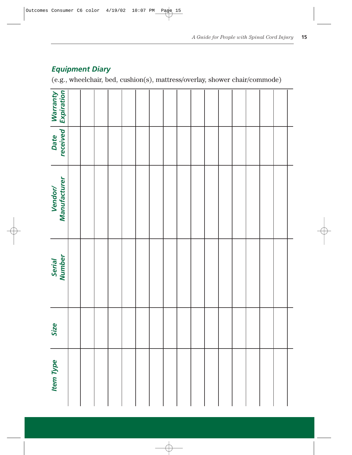| <b>Equipment Diary</b> |  |
|------------------------|--|
|------------------------|--|

(e.g., wheelchair, bed, cushion(s), mattress/overlay, shower chair/commode)

| Warranty<br>  Expiration |  |  |  |  |  |  |  |  |  |
|--------------------------|--|--|--|--|--|--|--|--|--|
| Date<br>received         |  |  |  |  |  |  |  |  |  |
| Vendor/<br>Manufacturer  |  |  |  |  |  |  |  |  |  |
| Serial<br>Number         |  |  |  |  |  |  |  |  |  |
| Size                     |  |  |  |  |  |  |  |  |  |
| <b>Item Type</b>         |  |  |  |  |  |  |  |  |  |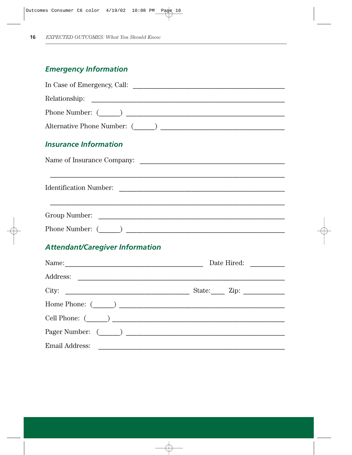# **Emergency Information**

| <b>Insurance Information</b>                                                                                         |             |
|----------------------------------------------------------------------------------------------------------------------|-------------|
|                                                                                                                      |             |
| <u> 1989 - Andrea Santa Andrea Santa Andrea Santa Andrea Santa Andrea Santa Andrea Santa Andrea Santa Andrea San</u> |             |
|                                                                                                                      |             |
|                                                                                                                      |             |
| <b>Attendant/Caregiver Information</b>                                                                               |             |
|                                                                                                                      | Date Hired: |
|                                                                                                                      |             |

| City:<br><u> 1980 - Jan Barbarat, manala</u> tar a basar a basar a basar a basar a basar a basar a basar a basar a basar a basa | State: $\mathbf{Zip:} \_\_\_\_\_\_\_\_\_\_\_\_\_\_\_\_\_\_$ |
|---------------------------------------------------------------------------------------------------------------------------------|-------------------------------------------------------------|
|                                                                                                                                 |                                                             |
|                                                                                                                                 |                                                             |
|                                                                                                                                 |                                                             |
| <b>Email Address:</b>                                                                                                           |                                                             |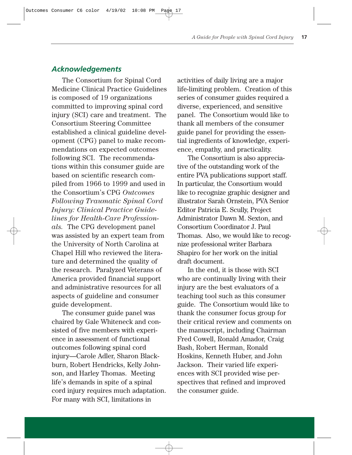# *Acknowledgements*

The Consortium for Spinal Cord Medicine Clinical Practice Guidelines is composed of 19 organizations committed to improving spinal cord injury (SCI) care and treatment. The Consortium Steering Committee established a clinical guideline development (CPG) panel to make recommendations on expected outcomes following SCI. The recommendations within this consumer guide are based on scientific research compiled from 1966 to 1999 and used in the Consortium's CPG *Outcomes Following Traumatic Spinal Cord Injury: Clinical Practice Guidelines for Health-Care Professionals.* The CPG development panel was assisted by an expert team from the University of North Carolina at Chapel Hill who reviewed the literature and determined the quality of the research. Paralyzed Veterans of America provided financial support and administrative resources for all aspects of guideline and consumer guide development.

The consumer guide panel was chaired by Gale Whiteneck and consisted of five members with experience in assessment of functional outcomes following spinal cord injury—Carole Adler, Sharon Blackburn, Robert Hendricks, Kelly Johnson, and Harley Thomas. Meeting life's demands in spite of a spinal cord injury requires much adaptation. For many with SCI, limitations in

activities of daily living are a major life-limiting problem. Creation of this series of consumer guides required a diverse, experienced, and sensitive panel. The Consortium would like to thank all members of the consumer guide panel for providing the essential ingredients of knowledge, experience, empathy, and practicality.

The Consortium is also appreciative of the outstanding work of the entire PVA publications support staff. In particular, the Consortium would like to recognize graphic designer and illustrator Sarah Ornstein, PVA Senior Editor Patricia E. Scully, Project Administrator Dawn M. Sexton, and Consortium Coordinator J. Paul Thomas. Also, we would like to recognize professional writer Barbara Shapiro for her work on the initial draft document.

In the end, it is those with SCI who are continually living with their injury are the best evaluators of a teaching tool such as this consumer guide. The Consortium would like to thank the consumer focus group for their critical review and comments on the manuscript, including Chairman Fred Cowell, Ronald Amador, Craig Bash, Robert Herman, Ronald Hoskins, Kenneth Huber, and John Jackson. Their varied life experiences with SCI provided wise perspectives that refined and improved the consumer guide.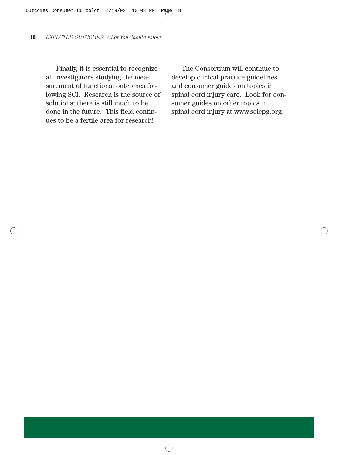Finally, it is essential to recognize all investigators studying the measurement of functional outcomes following SCI. Research is the source of solutions; there is still much to be done in the future. This field continues to be a fertile area for research!

The Consortium will continue to develop clinical practice guidelines and consumer guides on topics in spinal cord injury care. Look for consumer guides on other topics in spinal cord injury at www.scicpg.org.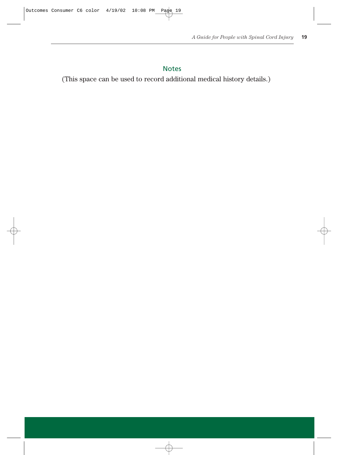# Notes

(This space can be used to record additional medical history details.)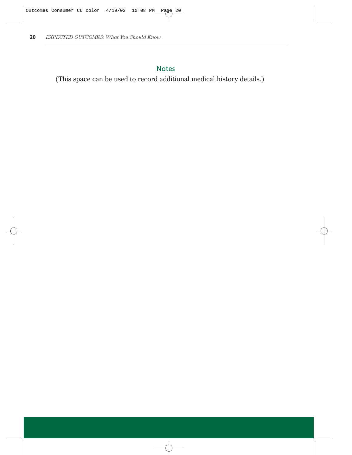# Notes

(This space can be used to record additional medical history details.)